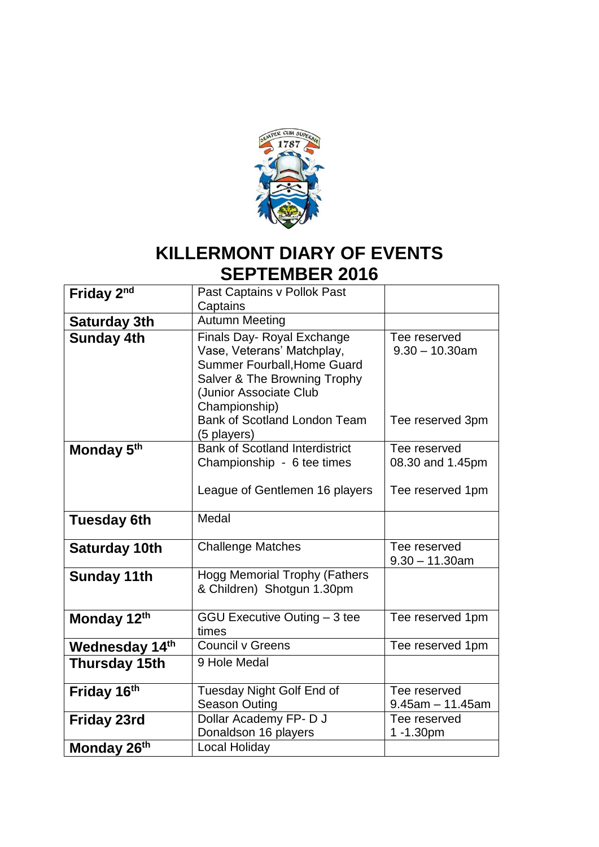

#### **KILLERMONT DIARY OF EVENTS SEPTEMBER 2016**

| Friday 2 <sup>nd</sup> | Past Captains v Pollok Past           |                       |
|------------------------|---------------------------------------|-----------------------|
|                        | Captains                              |                       |
| <b>Saturday 3th</b>    | <b>Autumn Meeting</b>                 |                       |
|                        |                                       | Tee reserved          |
| <b>Sunday 4th</b>      | Finals Day- Royal Exchange            |                       |
|                        | Vase, Veterans' Matchplay,            | $9.30 - 10.30$ am     |
|                        | <b>Summer Fourball, Home Guard</b>    |                       |
|                        | Salver & The Browning Trophy          |                       |
|                        | (Junior Associate Club                |                       |
|                        | Championship)                         |                       |
|                        | <b>Bank of Scotland London Team</b>   | Tee reserved 3pm      |
|                        | (5 players)                           |                       |
| Monday 5 <sup>th</sup> | <b>Bank of Scotland Interdistrict</b> | Tee reserved          |
|                        | Championship - 6 tee times            | 08.30 and 1.45pm      |
|                        |                                       |                       |
|                        | League of Gentlemen 16 players        | Tee reserved 1pm      |
|                        |                                       |                       |
|                        | Medal                                 |                       |
| <b>Tuesday 6th</b>     |                                       |                       |
|                        |                                       |                       |
| <b>Saturday 10th</b>   | <b>Challenge Matches</b>              | Tee reserved          |
|                        |                                       | $9.30 - 11.30$ am     |
| <b>Sunday 11th</b>     | <b>Hogg Memorial Trophy (Fathers</b>  |                       |
|                        | & Children) Shotgun 1.30pm            |                       |
|                        |                                       |                       |
| Monday 12th            | GGU Executive Outing - 3 tee          | Tee reserved 1pm      |
|                        | times                                 |                       |
| Wednesday 14th         | <b>Council v Greens</b>               | Tee reserved 1pm      |
| Thursday 15th          | 9 Hole Medal                          |                       |
|                        |                                       |                       |
| Friday 16th            | Tuesday Night Golf End of             | Tee reserved          |
|                        | <b>Season Outing</b>                  | $9.45$ am $-11.45$ am |
| <b>Friday 23rd</b>     | Dollar Academy FP-DJ                  | Tee reserved          |
|                        | Donaldson 16 players                  | 1-1.30pm              |
|                        |                                       |                       |
| Monday 26th            | Local Holiday                         |                       |